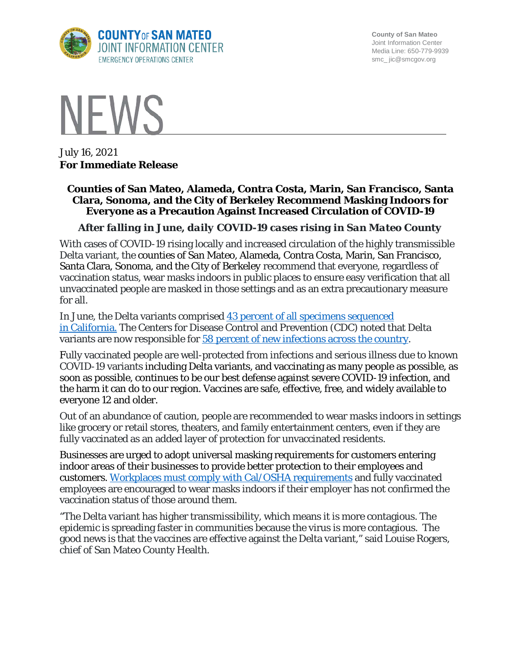

**County of San Mateo** Joint Information Center Media Line: 650-779-9939 smc\_ jic@smcgov.org



July 16, 2021 **For Immediate Release**

## **Counties of San Mateo, Alameda, Contra Costa, Marin, San Francisco, Santa Clara, Sonoma, and the City of Berkeley Recommend Masking Indoors for Everyone as a Precaution Against Increased Circulation of COVID-19**

## *After falling in June, daily COVID-19 cases rising in San Mateo County*

With cases of COVID-19 rising locally and increased circulation of the highly transmissible Delta variant, the counties of San Mateo, Alameda, Contra Costa, Marin, San Francisco, Santa Clara, Sonoma, and the City of Berkeley recommend that everyone, regardless of vaccination status, wear masks indoors in public places to ensure easy verification that all unvaccinated people are masked in those settings and as an extra precautionary measure for all.

In June, the Delta variants comprised [43 percent of all](https://www.cdph.ca.gov/Programs/CID/DCDC/Pages/COVID-19/COVID-Variants.aspx) specimens sequenced in [California.](https://www.cdph.ca.gov/Programs/CID/DCDC/Pages/COVID-19/COVID-Variants.aspx) The Centers for Disease Control and Prevention (CDC) noted that Delta variants are now responsible for [58 percent of new infections across the country.](https://covid.cdc.gov/covid-data-tracker/#variant-proportions)

Fully vaccinated people are well-protected from infections and serious illness due to known COVID-19 variants including Delta variants, and vaccinating as many people as possible, as soon as possible, continues to be our best defense against severe COVID-19 infection, and the harm it can do to our region. Vaccines are safe, effective, free, and widely available to everyone 12 and older.

Out of an abundance of caution, people are recommended to wear masks indoors in settings like grocery or retail stores, theaters, and family entertainment centers, even if they are fully vaccinated as an added layer of protection for unvaccinated residents.

Businesses are urged to adopt universal masking requirements for customers entering indoor areas of their businesses to provide better protection to their employees and customers. [Workplaces must comply with Cal/OSHA requirements](https://www.dir.ca.gov/dosh/coronavirus/ETS.html) and fully vaccinated employees are encouraged to wear masks indoors if their employer has not confirmed the vaccination status of those around them.

"The Delta variant has higher transmissibility, which means it is more contagious. The epidemic is spreading faster in communities because the virus is more contagious. The good news is that the vaccines are effective against the Delta variant," said Louise Rogers, chief of San Mateo County Health.